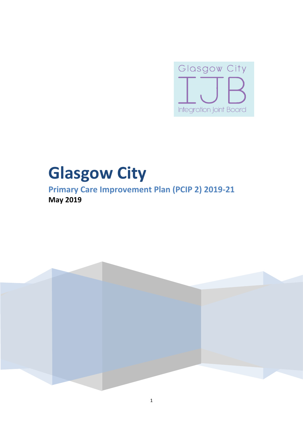

# **Glasgow City**

**Primary Care Improvement Plan (PCIP 2) 2019-21 May 2019**

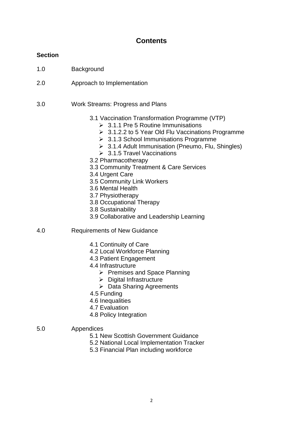# **Contents**

# **Section**

- 1.0 Background
- 2.0 Approach to Implementation
- 3.0 Work Streams: Progress and Plans
	- 3.1 Vaccination Transformation Programme (VTP)
		- $\geq 3.1.1$  Pre 5 Routine Immunisations
		- 3.1.2.2 to 5 Year Old Flu Vaccinations Programme
		- **▶ 3.1.3 School Immunisations Programme**
		- ▶ 3.1.4 Adult Immunisation (Pneumo, Flu, Shingles)
		- $\geq 3.1.5$  Travel Vaccinations
	- 3.2 Pharmacotherapy
	- 3.3 Community Treatment & Care Services
	- 3.4 Urgent Care
	- 3.5 Community Link Workers
	- 3.6 Mental Health
	- 3.7 Physiotherapy
	- 3.8 Occupational Therapy
	- 3.8 Sustainability
	- 3.9 Collaborative and Leadership Learning
- 4.0 Requirements of New Guidance
	- 4.1 Continuity of Care
	- 4.2 Local Workforce Planning
	- 4.3 Patient Engagement
	- 4.4 Infrastructure
		- $\triangleright$  Premises and Space Planning
		- $\triangleright$  Digital Infrastructure
		- $\triangleright$  Data Sharing Agreements
	- 4.5 Funding
	- 4.6 Inequalities
	- 4.7 Evaluation
	- 4.8 Policy Integration
- 5.0 Appendices
	- 5.1 New Scottish Government Guidance
	- 5.2 National Local Implementation Tracker
	- 5.3 Financial Plan including workforce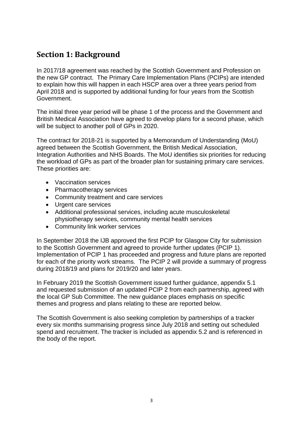# **Section 1: Background**

In 2017/18 agreement was reached by the Scottish Government and Profession on the new GP contract. The Primary Care Implementation Plans (PCIPs) are intended to explain how this will happen in each HSCP area over a three years period from April 2018 and is supported by additional funding for four years from the Scottish Government.

The initial three year period will be phase 1 of the process and the Government and British Medical Association have agreed to develop plans for a second phase, which will be subject to another poll of GPs in 2020.

The contract for 2018-21 is supported by a Memorandum of Understanding (MoU) agreed between the Scottish Government, the British Medical Association, Integration Authorities and NHS Boards. The MoU identifies six priorities for reducing the workload of GPs as part of the broader plan for sustaining primary care services. These priorities are:

- Vaccination services
- Pharmacotherapy services
- Community treatment and care services
- Urgent care services
- Additional professional services, including acute musculoskeletal physiotherapy services, community mental health services
- Community link worker services

In September 2018 the IJB approved the first PCIP for Glasgow City for submission to the Scottish Government and agreed to provide further updates (PCIP 1). Implementation of PCIP 1 has proceeded and progress and future plans are reported for each of the priority work streams. The PCIP 2 will provide a summary of progress during 2018/19 and plans for 2019/20 and later years.

In February 2019 the Scottish Government issued further guidance, appendix 5.1 and requested submission of an updated PCIP 2 from each partnership, agreed with the local GP Sub Committee. The new guidance places emphasis on specific themes and progress and plans relating to these are reported below.

The Scottish Government is also seeking completion by partnerships of a tracker every six months summarising progress since July 2018 and setting out scheduled spend and recruitment. The tracker is included as appendix 5.2 and is referenced in the body of the report.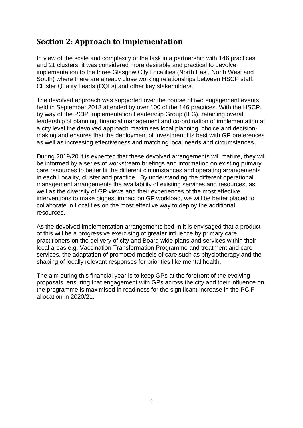# **Section 2: Approach to Implementation**

In view of the scale and complexity of the task in a partnership with 146 practices and 21 clusters, it was considered more desirable and practical to devolve implementation to the three Glasgow City Localities (North East, North West and South) where there are already close working relationships between HSCP staff, Cluster Quality Leads (CQLs) and other key stakeholders.

The devolved approach was supported over the course of two engagement events held in September 2018 attended by over 100 of the 146 practices. With the HSCP, by way of the PCIP Implementation Leadership Group (ILG), retaining overall leadership of planning, financial management and co-ordination of implementation at a city level the devolved approach maximises local planning, choice and decisionmaking and ensures that the deployment of investment fits best with GP preferences as well as increasing effectiveness and matching local needs and circumstances.

During 2019/20 it is expected that these devolved arrangements will mature, they will be informed by a series of workstream briefings and information on existing primary care resources to better fit the different circumstances and operating arrangements in each Locality, cluster and practice. By understanding the different operational management arrangements the availability of existing services and resources, as well as the diversity of GP views and their experiences of the most effective interventions to make biggest impact on GP workload, we will be better placed to collaborate in Localities on the most effective way to deploy the additional resources.

As the devolved implementation arrangements bed-in it is envisaged that a product of this will be a progressive exercising of greater influence by primary care practitioners on the delivery of city and Board wide plans and services within their local areas e.g. Vaccination Transformation Programme and treatment and care services, the adaptation of promoted models of care such as physiotherapy and the shaping of locally relevant responses for priorities like mental health.

The aim during this financial year is to keep GPs at the forefront of the evolving proposals, ensuring that engagement with GPs across the city and their influence on the programme is maximised in readiness for the significant increase in the PCIF allocation in 2020/21.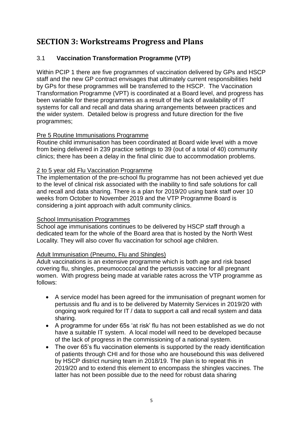# **SECTION 3: Workstreams Progress and Plans**

# 3.1 **Vaccination Transformation Programme (VTP)**

Within PCIP 1 there are five programmes of vaccination delivered by GPs and HSCP staff and the new GP contract envisages that ultimately current responsibilities held by GPs for these programmes will be transferred to the HSCP. The Vaccination Transformation Programme (VPT) is coordinated at a Board level, and progress has been variable for these programmes as a result of the lack of availability of IT systems for call and recall and data sharing arrangements between practices and the wider system. Detailed below is progress and future direction for the five programmes;

# Pre 5 Routine Immunisations Programme

Routine child immunisation has been coordinated at Board wide level with a move from being delivered in 239 practice settings to 39 (out of a total of 40) community clinics; there has been a delay in the final clinic due to accommodation problems.

# 2 to 5 year old Flu Vaccination Programme

The implementation of the pre-school flu programme has not been achieved yet due to the level of clinical risk associated with the inability to find safe solutions for call and recall and data sharing. There is a plan for 2019/20 using bank staff over 10 weeks from October to November 2019 and the VTP Programme Board is considering a joint approach with adult community clinics.

# School Immunisation Programmes

School age immunisations continues to be delivered by HSCP staff through a dedicated team for the whole of the Board area that is hosted by the North West Locality. They will also cover flu vaccination for school age children.

# Adult Immunisation (Pneumo, Flu and Shingles)

Adult vaccinations is an extensive programme which is both age and risk based covering flu, shingles, pneumococcal and the pertussis vaccine for all pregnant women. With progress being made at variable rates across the VTP programme as follows:

- A service model has been agreed for the immunisation of pregnant women for pertussis and flu and is to be delivered by Maternity Services in 2019/20 with ongoing work required for IT / data to support a call and recall system and data sharing.
- A programme for under 65s 'at risk' flu has not been established as we do not have a suitable IT system. A local model will need to be developed because of the lack of progress in the commissioning of a national system.
- The over 65's flu vaccination elements is supported by the ready identification of patients through CHI and for those who are housebound this was delivered by HSCP district nursing team in 2018/19. The plan is to repeat this in 2019/20 and to extend this element to encompass the shingles vaccines. The latter has not been possible due to the need for robust data sharing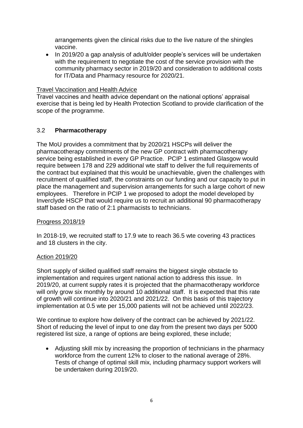arrangements given the clinical risks due to the live nature of the shingles vaccine.

• In 2019/20 a gap analysis of adult/older people's services will be undertaken with the requirement to negotiate the cost of the service provision with the community pharmacy sector in 2019/20 and consideration to additional costs for IT/Data and Pharmacy resource for 2020/21.

Travel Vaccination and Health Advice

Travel vaccines and health advice dependant on the national options' appraisal exercise that is being led by Health Protection Scotland to provide clarification of the scope of the programme.

# 3.2 **Pharmacotherapy**

The MoU provides a commitment that by 2020/21 HSCPs will deliver the pharmacotherapy commitments of the new GP contract with pharmacotherapy service being established in every GP Practice. PCIP 1 estimated Glasgow would require between 178 and 229 additional wte staff to deliver the full requirements of the contract but explained that this would be unachievable, given the challenges with recruitment of qualified staff, the constraints on our funding and our capacity to put in place the management and supervision arrangements for such a large cohort of new employees. Therefore in PCIP 1 we proposed to adopt the model developed by Inverclyde HSCP that would require us to recruit an additional 90 pharmacotherapy staff based on the ratio of 2:1 pharmacists to technicians.

# Progress 2018/19

In 2018-19, we recruited staff to 17.9 wte to reach 36.5 wte covering 43 practices and 18 clusters in the city.

# Action 2019/20

Short supply of skilled qualified staff remains the biggest single obstacle to implementation and requires urgent national action to address this issue. In 2019/20, at current supply rates it is projected that the pharmacotherapy workforce will only grow six monthly by around 10 additional staff. It is expected that this rate of growth will continue into 2020/21 and 2021/22. On this basis of this trajectory implementation at 0.5 wte per 15,000 patients will not be achieved until 2022/23.

We continue to explore how delivery of the contract can be achieved by 2021/22. Short of reducing the level of input to one day from the present two days per 5000 registered list size, a range of options are being explored, these include;

 Adjusting skill mix by increasing the proportion of technicians in the pharmacy workforce from the current 12% to closer to the national average of 28%. Tests of change of optimal skill mix, including pharmacy support workers will be undertaken during 2019/20.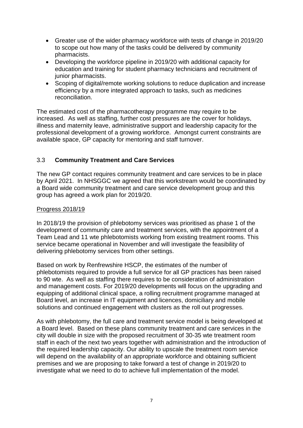- Greater use of the wider pharmacy workforce with tests of change in 2019/20 to scope out how many of the tasks could be delivered by community pharmacists.
- Developing the workforce pipeline in 2019/20 with additional capacity for education and training for student pharmacy technicians and recruitment of junior pharmacists.
- Scoping of digital/remote working solutions to reduce duplication and increase efficiency by a more integrated approach to tasks, such as medicines reconciliation.

The estimated cost of the pharmacotherapy programme may require to be increased. As well as staffing, further cost pressures are the cover for holidays, illness and maternity leave, administrative support and leadership capacity for the professional development of a growing workforce. Amongst current constraints are available space, GP capacity for mentoring and staff turnover.

# 3.3 **Community Treatment and Care Services**

The new GP contact requires community treatment and care services to be in place by April 2021. In NHSGGC we agreed that this workstream would be coordinated by a Board wide community treatment and care service development group and this group has agreed a work plan for 2019/20.

## Progress 2018/19

In 2018/19 the provision of phlebotomy services was prioritised as phase 1 of the development of community care and treatment services, with the appointment of a Team Lead and 11 wte phlebotomists working from existing treatment rooms. This service became operational in November and will investigate the feasibility of delivering phlebotomy services from other settings.

Based on work by Renfrewshire HSCP, the estimates of the number of phlebotomists required to provide a full service for all GP practices has been raised to 90 wte. As well as staffing there requires to be consideration of administration and management costs. For 2019/20 developments will focus on the upgrading and equipping of additional clinical space, a rolling recruitment programme managed at Board level, an increase in IT equipment and licences, domiciliary and mobile solutions and continued engagement with clusters as the roll out progresses.

As with phlebotomy, the full care and treatment service model is being developed at a Board level. Based on these plans community treatment and care services in the city will double in size with the proposed recruitment of 30-35 wte treatment room staff in each of the next two years together with administration and the introduction of the required leadership capacity. Our ability to upscale the treatment room service will depend on the availability of an appropriate workforce and obtaining sufficient premises and we are proposing to take forward a test of change in 2019/20 to investigate what we need to do to achieve full implementation of the model.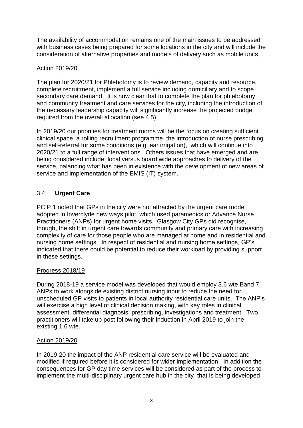The availability of accommodation remains one of the main issues to be addressed with business cases being prepared for some locations in the city and will include the consideration of alternative properties and models of delivery such as mobile units.

# Action 2019/20

The plan for 2020/21 for Phlebotomy is to review demand, capacity and resource, complete recruitment, implement a full service including domiciliary and to scope secondary care demand. It is now clear that to complete the plan for phlebotomy and community treatment and care services for the city, including the introduction of the necessary leadership capacity will significantly increase the projected budget required from the overall allocation (see 4.5).

In 2019/20 our priorities for treatment rooms will be the focus on creating sufficient clinical space, a rolling recruitment programme, the introduction of nurse prescribing and self-referral for some conditions (e.g. ear irrigation), which will continue into 2020/21 to a full range of interventions. Others issues that have emerged and are being considered include; local versus board wide approaches to delivery of the service, balancing what has been in existence with the development of new areas of service and implementation of the EMIS (IT) system.

# 3.4 **Urgent Care**

PCIP 1 noted that GPs in the city were not attracted by the urgent care model adopted in Inverclyde new ways pilot, which used paramedics or Advance Nurse Practitioners (ANPs) for urgent home visits. Glasgow City GPs did recognise, though, the shift in urgent care towards community and primary care with increasing complexity of care for those people who are managed at home and in residential and nursing home settings. In respect of residential and nursing home settings, GP's indicated that there could be potential to reduce their workload by providing support in these settings.

# Progress 2018/19

During 2018-19 a service model was developed that would employ 3.6 wte Band 7 ANPs to work alongside existing district nursing input to reduce the need for unscheduled GP visits to patients in local authority residential care units. The ANP's will exercise a high level of clinical decision making, with key roles in clinical assessment, differential diagnosis, prescribing, investigations and treatment. Two practitioners will take up post following their induction in April 2019 to join the existing 1.6 wte.

# Action 2019/20

In 2019-20 the impact of the ANP residential care service will be evaluated and modified if required before it is considered for wider implementation. In addition the consequences for GP day time services will be considered as part of the process to implement the multi-disciplinary urgent care hub in the city that is being developed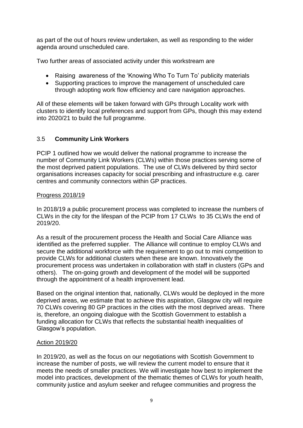as part of the out of hours review undertaken, as well as responding to the wider agenda around unscheduled care.

Two further areas of associated activity under this workstream are

- Raising awareness of the 'Knowing Who To Turn To' publicity materials
- Supporting practices to improve the management of unscheduled care through adopting work flow efficiency and care navigation approaches.

All of these elements will be taken forward with GPs through Locality work with clusters to identify local preferences and support from GPs, though this may extend into 2020/21 to build the full programme.

# 3.5 **Community Link Workers**

PCIP 1 outlined how we would deliver the national programme to increase the number of Community Link Workers (CLWs) within those practices serving some of the most deprived patient populations. The use of CLWs delivered by third sector organisations increases capacity for social prescribing and infrastructure e.g. carer centres and community connectors within GP practices.

# Progress 2018/19

In 2018/19 a public procurement process was completed to increase the numbers of CLWs in the city for the lifespan of the PCIP from 17 CLWs to 35 CLWs the end of 2019/20.

As a result of the procurement process the Health and Social Care Alliance was identified as the preferred supplier. The Alliance will continue to employ CLWs and secure the additional workforce with the requirement to go out to mini competition to provide CLWs for additional clusters when these are known. Innovatively the procurement process was undertaken in collaboration with staff in clusters (GPs and others). The on-going growth and development of the model will be supported through the appointment of a health improvement lead.

Based on the original intention that, nationally, CLWs would be deployed in the more deprived areas, we estimate that to achieve this aspiration, Glasgow city will require 70 CLWs covering 80 GP practices in the cities with the most deprived areas. There is, therefore, an ongoing dialogue with the Scottish Government to establish a funding allocation for CLWs that reflects the substantial health inequalities of Glasgow's population.

# Action 2019/20

In 2019/20, as well as the focus on our negotiations with Scottish Government to increase the number of posts, we will review the current model to ensure that it meets the needs of smaller practices. We will investigate how best to implement the model into practices, development of the thematic themes of CLWs for youth health, community justice and asylum seeker and refugee communities and progress the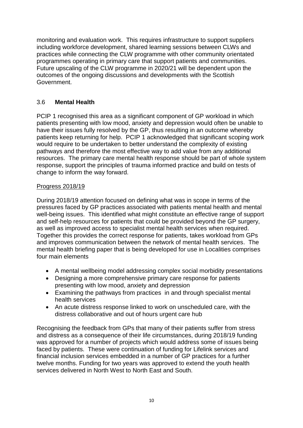monitoring and evaluation work. This requires infrastructure to support suppliers including workforce development, shared learning sessions between CLWs and practices while connecting the CLW programme with other community orientated programmes operating in primary care that support patients and communities. Future upscaling of the CLW programme in 2020/21 will be dependent upon the outcomes of the ongoing discussions and developments with the Scottish Government.

# 3.6 **Mental Health**

PCIP 1 recognised this area as a significant component of GP workload in which patients presenting with low mood, anxiety and depression would often be unable to have their issues fully resolved by the GP, thus resulting in an outcome whereby patients keep returning for help. PCIP 1 acknowledged that significant scoping work would require to be undertaken to better understand the complexity of existing pathways and therefore the most effective way to add value from any additional resources. The primary care mental health response should be part of whole system response, support the principles of trauma informed practice and build on tests of change to inform the way forward.

# Progress 2018/19

During 2018/19 attention focused on defining what was in scope in terms of the pressures faced by GP practices associated with patients mental health and mental well-being issues. This identified what might constitute an effective range of support and self-help resources for patients that could be provided beyond the GP surgery, as well as improved access to specialist mental health services when required. Together this provides the correct response for patients, takes workload from GPs and improves communication between the network of mental health services. The mental health briefing paper that is being developed for use in Localities comprises four main elements

- A mental wellbeing model addressing complex social morbidity presentations
- Designing a more comprehensive primary care response for patients presenting with low mood, anxiety and depression
- Examining the pathways from practices in and through specialist mental health services
- An acute distress response linked to work on unscheduled care, with the distress collaborative and out of hours urgent care hub

Recognising the feedback from GPs that many of their patients suffer from stress and distress as a consequence of their life circumstances, during 2018/19 funding was approved for a number of projects which would address some of issues being faced by patients. These were continuation of funding for Lifelink services and financial inclusion services embedded in a number of GP practices for a further twelve months. Funding for two years was approved to extend the youth health services delivered in North West to North East and South.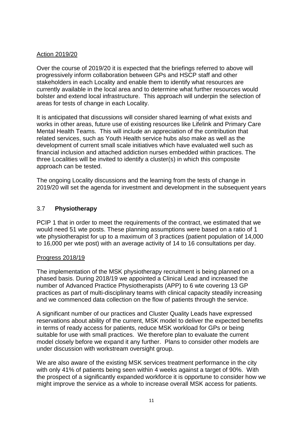# Action 2019/20

Over the course of 2019/20 it is expected that the briefings referred to above will progressively inform collaboration between GPs and HSCP staff and other stakeholders in each Locality and enable them to identify what resources are currently available in the local area and to determine what further resources would bolster and extend local infrastructure. This approach will underpin the selection of areas for tests of change in each Locality.

It is anticipated that discussions will consider shared learning of what exists and works in other areas, future use of existing resources like Lifelink and Primary Care Mental Health Teams. This will include an appreciation of the contribution that related services, such as Youth Health service hubs also make as well as the development of current small scale initiatives which have evaluated well such as financial inclusion and attached addiction nurses embedded within practices. The three Localities will be invited to identify a cluster(s) in which this composite approach can be tested.

The ongoing Locality discussions and the learning from the tests of change in 2019/20 will set the agenda for investment and development in the subsequent years

# 3.7 **Physiotherapy**

PCIP 1 that in order to meet the requirements of the contract, we estimated that we would need 51 wte posts. These planning assumptions were based on a ratio of 1 wte physiotherapist for up to a maximum of 3 practices (patient population of 14,000 to 16,000 per wte post) with an average activity of 14 to 16 consultations per day.

# Progress 2018/19

The implementation of the MSK physiotherapy recruitment is being planned on a phased basis. During 2018/19 we appointed a Clinical Lead and increased the number of Advanced Practice Physiotherapists (APP) to 6 wte covering 13 GP practices as part of multi-disciplinary teams with clinical capacity steadily increasing and we commenced data collection on the flow of patients through the service.

A significant number of our practices and Cluster Quality Leads have expressed reservations about ability of the current, MSK model to deliver the expected benefits in terms of ready access for patients, reduce MSK workload for GPs or being suitable for use with small practices. We therefore plan to evaluate the current model closely before we expand it any further. Plans to consider other models are under discussion with workstream oversight group.

We are also aware of the existing MSK services treatment performance in the city with only 41% of patients being seen within 4 weeks against a target of 90%. With the prospect of a significantly expanded workforce it is opportune to consider how we might improve the service as a whole to increase overall MSK access for patients.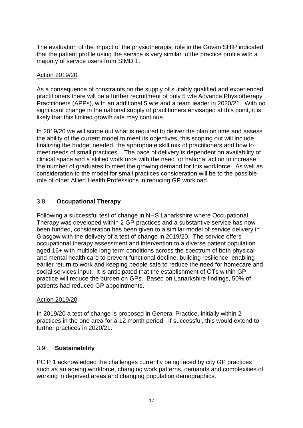The evaluation of the impact of the physiotherapist role in the Govan SHIP indicated that the patient profile using the service is very similar to the practice profile with a majority of service users from SIMD 1.

# Action 2019/20

As a consequence of constraints on the supply of suitably qualified and experienced practitioners there will be a further recruitment of only 5 wte Advance Physiotherapy Practitioners (APPs), with an additional 5 wte and a team leader in 2020/21. With no significant change in the national supply of practitioners envisaged at this point, it is likely that this limited growth rate may continue.

In 2019/20 we will scope out what is required to deliver the plan on time and assess the ability of the current model to meet its objectives, this scoping out will include finalizing the budget needed, the appropriate skill mix of practitioners and how to meet needs of small practices. The pace of delivery is dependent on availability of clinical space and a skilled workforce with the need for national action to increase the number of graduates to meet the growing demand for this workforce. As well as consideration to the model for small practices consideration will be to the possible role of other Allied Health Professions in reducing GP workload.

# 3.8 **Occupational Therapy**

Following a successful test of change in NHS Lanarkshire where Occupational Therapy was developed within 2 GP practices and a substantive service has now been funded, consideration has been given to a similar model of service delivery in Glasgow with the delivery of a test of change in 2019/20. The service offers occupational therapy assessment and intervention to a diverse patient population aged 16+ with multiple long term conditions across the spectrum of both physical and mental health care to prevent functional decline, building resilience, enabling earlier return to work and keeping people safe to reduce the need for homecare and social services input. It is anticipated that the establishment of OTs within GP practice will reduce the burden on GPs. Based on Lanarkshire findings, 50% of patients had reduced GP appointments.

# Action 2019/20

In 2019/20 a test of change is proposed in General Practice, initially within 2 practices in the one area for a 12 month period. If successful, this would extend to further practices in 2020/21.

# 3.9 **Sustainability**

PCIP 1 acknowledged the challenges currently being faced by city GP practices such as an ageing workforce, changing work patterns, demands and complexities of working in deprived areas and changing population demographics.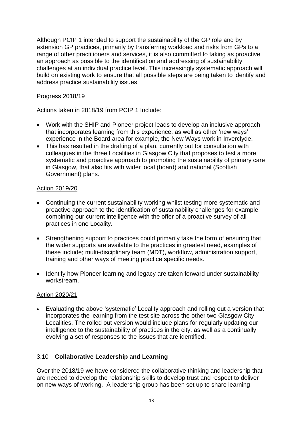Although PCIP 1 intended to support the sustainability of the GP role and by extension GP practices, primarily by transferring workload and risks from GPs to a range of other practitioners and services, it is also committed to taking as proactive an approach as possible to the identification and addressing of sustainability challenges at an individual practice level. This increasingly systematic approach will build on existing work to ensure that all possible steps are being taken to identify and address practice sustainability issues.

# Progress 2018/19

Actions taken in 2018/19 from PCIP 1 Include:

- Work with the SHIP and Pioneer project leads to develop an inclusive approach that incorporates learning from this experience, as well as other 'new ways' experience in the Board area for example, the New Ways work in Inverclyde.
- This has resulted in the drafting of a plan, currently out for consultation with colleagues in the three Localities in Glasgow City that proposes to test a more systematic and proactive approach to promoting the sustainability of primary care in Glasgow, that also fits with wider local (board) and national (Scottish Government) plans.

# Action 2019/20

- Continuing the current sustainability working whilst testing more systematic and proactive approach to the identification of sustainability challenges for example combining our current intelligence with the offer of a proactive survey of all practices in one Locality.
- Strengthening support to practices could primarily take the form of ensuring that the wider supports are available to the practices in greatest need, examples of these include; multi-disciplinary team (MDT), workflow, administration support, training and other ways of meeting practice specific needs.
- Identify how Pioneer learning and legacy are taken forward under sustainability workstream.

# Action 2020/21

 Evaluating the above 'systematic' Locality approach and rolling out a version that incorporates the learning from the test site across the other two Glasgow City Localities. The rolled out version would include plans for regularly updating our intelligence to the sustainability of practices in the city, as well as a continually evolving a set of responses to the issues that are identified.

# 3.10 **Collaborative Leadership and Learning**

Over the 2018/19 we have considered the collaborative thinking and leadership that are needed to develop the relationship skills to develop trust and respect to deliver on new ways of working. A leadership group has been set up to share learning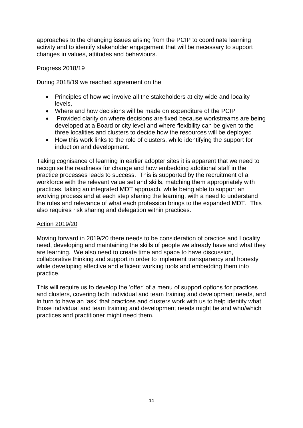approaches to the changing issues arising from the PCIP to coordinate learning activity and to identify stakeholder engagement that will be necessary to support changes in values, attitudes and behaviours.

# Progress 2018/19

During 2018/19 we reached agreement on the

- Principles of how we involve all the stakeholders at city wide and locality levels,
- Where and how decisions will be made on expenditure of the PCIP
- Provided clarity on where decisions are fixed because workstreams are being developed at a Board or city level and where flexibility can be given to the three localities and clusters to decide how the resources will be deployed
- How this work links to the role of clusters, while identifying the support for induction and development.

Taking cognisance of learning in earlier adopter sites it is apparent that we need to recognise the readiness for change and how embedding additional staff in the practice processes leads to success. This is supported by the recruitment of a workforce with the relevant value set and skills, matching them appropriately with practices, taking an integrated MDT approach, while being able to support an evolving process and at each step sharing the learning, with a need to understand the roles and relevance of what each profession brings to the expanded MDT. This also requires risk sharing and delegation within practices.

# Action 2019/20

Moving forward in 2019/20 there needs to be consideration of practice and Locality need, developing and maintaining the skills of people we already have and what they are learning. We also need to create time and space to have discussion, collaborative thinking and support in order to implement transparency and honesty while developing effective and efficient working tools and embedding them into practice.

This will require us to develop the 'offer' of a menu of support options for practices and clusters, covering both individual and team training and development needs, and in turn to have an 'ask' that practices and clusters work with us to help identify what those individual and team training and development needs might be and who/which practices and practitioner might need them.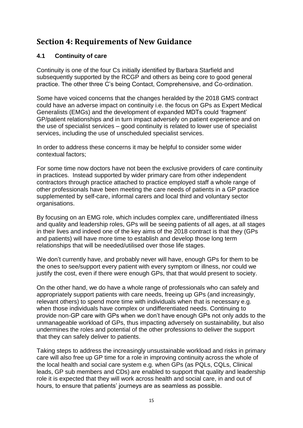# **Section 4: Requirements of New Guidance**

# **4.1 Continuity of care**

Continuity is one of the four Cs initially identified by Barbara Starfield and subsequently supported by the RCGP and others as being core to good general practice. The other three C's being Contact, Comprehensive, and Co-ordination.

Some have voiced concerns that the changes heralded by the 2018 GMS contract could have an adverse impact on continuity i.e. the focus on GPs as Expert Medical Generalists (EMGs) and the development of expanded MDTs could 'fragment' GP/patient relationships and in turn impact adversely on patient experience and on the use of specialist services – good continuity is related to lower use of specialist services, including the use of unscheduled specialist services.

In order to address these concerns it may be helpful to consider some wider contextual factors;

For some time now doctors have not been the exclusive providers of care continuity in practices. Instead supported by wider primary care from other independent contractors through practice attached to practice employed staff a whole range of other professionals have been meeting the care needs of patients in a GP practice supplemented by self-care, informal carers and local third and voluntary sector organisations.

By focusing on an EMG role, which includes complex care, undifferentiated illness and quality and leadership roles, GPs will be seeing patients of all ages, at all stages in their lives and indeed one of the key aims of the 2018 contract is that they (GPs and patients) will have more time to establish and develop those long term relationships that will be needed/utilised over those life stages.

We don't currently have, and probably never will have, enough GPs for them to be the ones to see/support every patient with every symptom or illness, nor could we justify the cost, even if there were enough GPs, that that would present to society.

On the other hand, we do have a whole range of professionals who can safely and appropriately support patients with care needs, freeing up GPs (and increasingly, relevant others) to spend more time with individuals when that is necessary e.g. when those individuals have complex or undifferentiated needs. Continuing to provide non-GP care with GPs when we don't have enough GPs not only adds to the unmanageable workload of GPs, thus impacting adversely on sustainability, but also undermines the roles and potential of the other professions to deliver the support that they can safely deliver to patients.

Taking steps to address the increasingly unsustainable workload and risks in primary care will also free up GP time for a role in improving continuity across the whole of the local health and social care system e.g. when GPs (as PQLs, CQLs, Clinical leads, GP sub members and CDs) are enabled to support that quality and leadership role it is expected that they will work across health and social care, in and out of hours, to ensure that patients' journeys are as seamless as possible.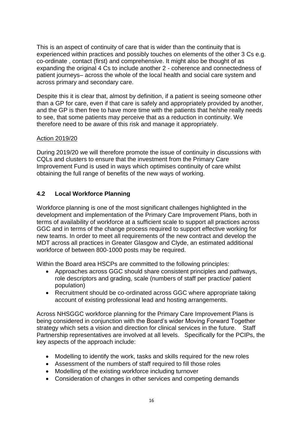This is an aspect of continuity of care that is wider than the continuity that is experienced within practices and possibly touches on elements of the other 3 Cs e.g. co-ordinate , contact (first) and comprehensive. It might also be thought of as expanding the original 4 Cs to include another 2 - coherence and connectedness of patient journeys– across the whole of the local health and social care system and across primary and secondary care.

Despite this it is clear that, almost by definition, if a patient is seeing someone other than a GP for care, even if that care is safely and appropriately provided by another, and the GP is then free to have more time with the patients that he/she really needs to see, that some patients may perceive that as a reduction in continuity. We therefore need to be aware of this risk and manage it appropriately.

# Action 2019/20

During 2019/20 we will therefore promote the issue of continuity in discussions with CQLs and clusters to ensure that the investment from the Primary Care Improvement Fund is used in ways which optimises continuity of care whilst obtaining the full range of benefits of the new ways of working.

# **4.2 Local Workforce Planning**

Workforce planning is one of the most significant challenges highlighted in the development and implementation of the Primary Care Improvement Plans, both in terms of availability of workforce at a sufficient scale to support all practices across GGC and in terms of the change process required to support effective working for new teams. In order to meet all requirements of the new contract and develop the MDT across all practices in Greater Glasgow and Clyde, an estimated additional workforce of between 800-1000 posts may be required.

Within the Board area HSCPs are committed to the following principles:

- Approaches across GGC should share consistent principles and pathways, role descriptors and grading, scale (numbers of staff per practice/ patient population)
- Recruitment should be co-ordinated across GGC where appropriate taking account of existing professional lead and hosting arrangements.

Across NHSGGC workforce planning for the Primary Care Improvement Plans is being considered in conjunction with the Board's wider Moving Forward Together strategy which sets a vision and direction for clinical services in the future. Staff Partnership representatives are involved at all levels. Specifically for the PCIPs, the key aspects of the approach include:

- Modelling to identify the work, tasks and skills required for the new roles
- Assessment of the numbers of staff required to fill those roles
- Modelling of the existing workforce including turnover
- Consideration of changes in other services and competing demands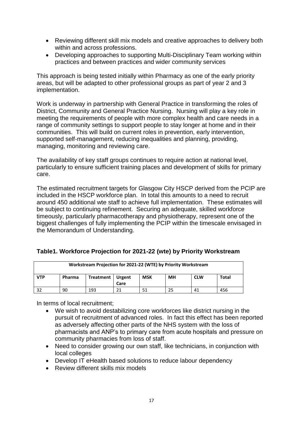- Reviewing different skill mix models and creative approaches to delivery both within and across professions.
- Developing approaches to supporting Multi-Disciplinary Team working within practices and between practices and wider community services

This approach is being tested initially within Pharmacy as one of the early priority areas, but will be adapted to other professional groups as part of year 2 and 3 implementation.

Work is underway in partnership with General Practice in transforming the roles of District, Community and General Practice Nursing. Nursing will play a key role in meeting the requirements of people with more complex health and care needs in a range of community settings to support people to stay longer at home and in their communities. This will build on current roles in prevention, early intervention, supported self-management, reducing inequalities and planning, providing, managing, monitoring and reviewing care.

The availability of key staff groups continues to require action at national level, particularly to ensure sufficient training places and development of skills for primary care.

The estimated recruitment targets for Glasgow City HSCP derived from the PCIP are included in the HSCP workforce plan. In total this amounts to a need to recruit around 450 additional wte staff to achieve full implementation. These estimates will be subject to continuing refinement. Securing an adequate, skilled workforce timeously, particularly pharmacotherapy and physiotherapy, represent one of the biggest challenges of fully implementing the PCIP within the timescale envisaged in the Memorandum of Understanding.

| Workstream Projection for 2021-22 (WTE) by Priority Workstream |                                                                         |  |      |  |  |  |  |  |  |
|----------------------------------------------------------------|-------------------------------------------------------------------------|--|------|--|--|--|--|--|--|
| <b>VTP</b>                                                     | MН<br>Total<br><b>MSK</b><br>Treatment   Urgent<br><b>CLW</b><br>Pharma |  |      |  |  |  |  |  |  |
|                                                                |                                                                         |  | Care |  |  |  |  |  |  |
| 193<br>90<br>456<br>41                                         |                                                                         |  |      |  |  |  |  |  |  |

# **Table1. Workforce Projection for 2021-22 (wte) by Priority Workstream**

In terms of local recruitment;

- We wish to avoid destabilizing core workforces like district nursing in the pursuit of recruitment of advanced roles. In fact this effect has been reported as adversely affecting other parts of the NHS system with the loss of pharmacists and ANP's to primary care from acute hospitals and pressure on community pharmacies from loss of staff.
- Need to consider growing our own staff, like technicians, in conjunction with local colleges
- Develop IT eHealth based solutions to reduce labour dependency
- Review different skills mix models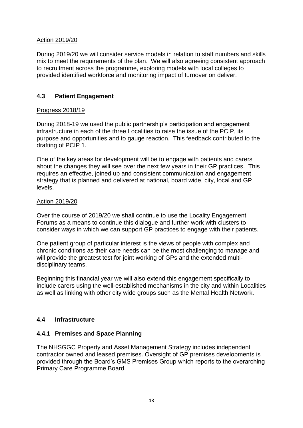# Action 2019/20

During 2019/20 we will consider service models in relation to staff numbers and skills mix to meet the requirements of the plan. We will also agreeing consistent approach to recruitment across the programme, exploring models with local colleges to provided identified workforce and monitoring impact of turnover on deliver.

# **4.3 Patient Engagement**

# Progress 2018/19

During 2018-19 we used the public partnership's participation and engagement infrastructure in each of the three Localities to raise the issue of the PCIP, its purpose and opportunities and to gauge reaction. This feedback contributed to the drafting of PCIP 1.

One of the key areas for development will be to engage with patients and carers about the changes they will see over the next few years in their GP practices. This requires an effective, joined up and consistent communication and engagement strategy that is planned and delivered at national, board wide, city, local and GP levels.

# Action 2019/20

Over the course of 2019/20 we shall continue to use the Locality Engagement Forums as a means to continue this dialogue and further work with clusters to consider ways in which we can support GP practices to engage with their patients.

One patient group of particular interest is the views of people with complex and chronic conditions as their care needs can be the most challenging to manage and will provide the greatest test for joint working of GPs and the extended multidisciplinary teams.

Beginning this financial year we will also extend this engagement specifically to include carers using the well-established mechanisms in the city and within Localities as well as linking with other city wide groups such as the Mental Health Network.

# **4.4 Infrastructure**

# **4.4.1 Premises and Space Planning**

The NHSGGC Property and Asset Management Strategy includes independent contractor owned and leased premises. Oversight of GP premises developments is provided through the Board's GMS Premises Group which reports to the overarching Primary Care Programme Board.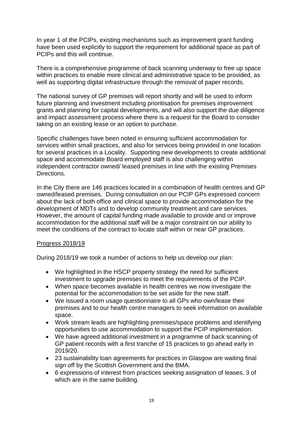In year 1 of the PCIPs, existing mechanisms such as improvement grant funding have been used explicitly to support the requirement for additional space as part of PCIPs and this will continue.

There is a comprehensive programme of back scanning underway to free up space within practices to enable more clinical and administrative space to be provided, as well as supporting digital infrastructure through the removal of paper records.

The national survey of GP premises will report shortly and will be used to inform future planning and investment including prioritisation for premises improvement grants and planning for capital developments, and will also support the due diligence and impact assessment process where there is a request for the Board to consider taking on an existing lease or an option to purchase.

Specific challenges have been noted in ensuring sufficient accommodation for services within small practices, and also for services being provided in one location for several practices in a Locality. Supporting new developments to create additional space and accommodate Board employed staff is also challenging within independent contractor owned/ leased premises in line with the existing Premises Directions.

In the City there are 146 practices located in a combination of health centres and GP owned/leased premises. During consultation on our PCIP GPs expressed concern about the lack of both office and clinical space to provide accommodation for the development of MDTs and to develop community treatment and care services. However, the amount of capital funding made available to provide and or improve accommodation for the additional staff will be a major constraint on our ability to meet the conditions of the contract to locate staff within or near GP practices.

# Progress 2018/19

During 2018/19 we took a number of actions to help us develop our plan:

- We highlighted in the HSCP property strategy the need for sufficient investment to upgrade premises to meet the requirements of the PCIP.
- When space becomes available in health centres we now investigate the potential for the accommodation to be set aside for the new staff.
- We issued a room usage questionnaire to all GPs who own/lease their premises and to our health centre managers to seek information on available space.
- Work stream leads are highlighting premises/space problems and identifying opportunities to use accommodation to support the PCIP implementation.
- We have agreed additional investment in a programme of back scanning of GP patient records with a first tranche of 15 practices to go ahead early in 2019/20.
- 23 sustainability loan agreements for practices in Glasgow are waiting final sign off by the Scottish Government and the BMA.
- 6 expressions of interest from practices seeking assignation of leases, 3 of which are in the same building.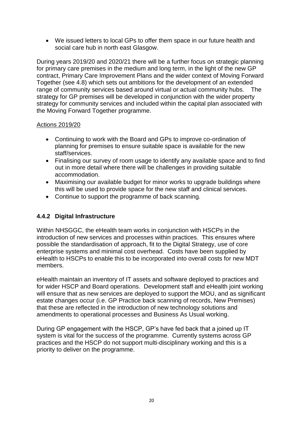We issued letters to local GPs to offer them space in our future health and social care hub in north east Glasgow.

During years 2019/20 and 2020/21 there will be a further focus on strategic planning for primary care premises in the medium and long term, in the light of the new GP contract, Primary Care Improvement Plans and the wider context of Moving Forward Together (see 4.8) which sets out ambitions for the development of an extended range of community services based around virtual or actual community hubs. The strategy for GP premises will be developed in conjunction with the wider property strategy for community services and included within the capital plan associated with the Moving Forward Together programme.

# Actions 2019/20

- Continuing to work with the Board and GPs to improve co-ordination of planning for premises to ensure suitable space is available for the new staff/services.
- Finalising our survey of room usage to identify any available space and to find out in more detail where there will be challenges in providing suitable accommodation.
- Maximising our available budget for minor works to upgrade buildings where this will be used to provide space for the new staff and clinical services.
- Continue to support the programme of back scanning.

# **4.4.2 Digital Infrastructure**

Within NHSGGC, the eHealth team works in conjunction with HSCPs in the introduction of new services and processes within practices. This ensures where possible the standardisation of approach, fit to the Digital Strategy, use of core enterprise systems and minimal cost overhead. Costs have been supplied by eHealth to HSCPs to enable this to be incorporated into overall costs for new MDT members.

eHealth maintain an inventory of IT assets and software deployed to practices and for wider HSCP and Board operations. Development staff and eHealth joint working will ensure that as new services are deployed to support the MOU, and as significant estate changes occur (i.e. GP Practice back scanning of records, New Premises) that these are reflected in the introduction of new technology solutions and amendments to operational processes and Business As Usual working.

During GP engagement with the HSCP, GP's have fed back that a joined up IT system is vital for the success of the programme. Currently systems across GP practices and the HSCP do not support multi-disciplinary working and this is a priority to deliver on the programme.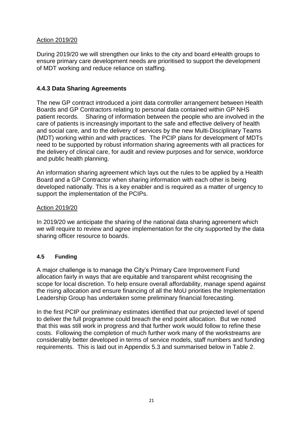# Action 2019/20

During 2019/20 we will strengthen our links to the city and board eHealth groups to ensure primary care development needs are prioritised to support the development of MDT working and reduce reliance on staffing.

# **4.4.3 Data Sharing Agreements**

The new GP contract introduced a joint data controller arrangement between Health Boards and GP Contractors relating to personal data contained within GP NHS patient records. Sharing of information between the people who are involved in the care of patients is increasingly important to the safe and effective delivery of health and social care, and to the delivery of services by the new Multi-Disciplinary Teams (MDT) working within and with practices. The PCIP plans for development of MDTs need to be supported by robust information sharing agreements with all practices for the delivery of clinical care, for audit and review purposes and for service, workforce and public health planning.

An information sharing agreement which lays out the rules to be applied by a Health Board and a GP Contractor when sharing information with each other is being developed nationally. This is a key enabler and is required as a matter of urgency to support the implementation of the PCIPs.

## Action 2019/20

In 2019/20 we anticipate the sharing of the national data sharing agreement which we will require to review and agree implementation for the city supported by the data sharing officer resource to boards.

# **4.5 Funding**

A major challenge is to manage the City's Primary Care Improvement Fund allocation fairly in ways that are equitable and transparent whilst recognising the scope for local discretion. To help ensure overall affordability, manage spend against the rising allocation and ensure financing of all the MoU priorities the Implementation Leadership Group has undertaken some preliminary financial forecasting.

In the first PCIP our preliminary estimates identified that our projected level of spend to deliver the full programme could breach the end point allocation. But we noted that this was still work in progress and that further work would follow to refine these costs. Following the completion of much further work many of the workstreams are considerably better developed in terms of service models, staff numbers and funding requirements. This is laid out in Appendix 5.3 and summarised below in Table 2.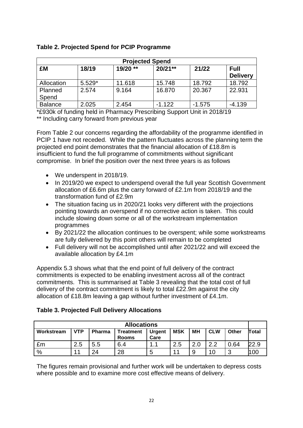| <b>Projected Spend</b> |          |          |           |          |                                |  |  |  |  |
|------------------------|----------|----------|-----------|----------|--------------------------------|--|--|--|--|
| £M                     | 18/19    | 19/20 ** | $20/21**$ | 21/22    | <b>Full</b><br><b>Delivery</b> |  |  |  |  |
| Allocation             | $5.529*$ | 11.618   | 15.748    | 18.792   | 18.792                         |  |  |  |  |
| Planned<br>Spend       | 2.574    | 9.164    | 16.870    | 20.367   | 22.931                         |  |  |  |  |
| <b>Balance</b>         | 2.025    | 2.454    | $-1.122$  | $-1.575$ | $-4.139$                       |  |  |  |  |

# **Table 2. Projected Spend for PCIP Programme**

\*£930k of funding held in Pharmacy Prescribing Support Unit in 2018/19 \*\* Including carry forward from previous year

From Table 2 our concerns regarding the affordability of the programme identified in PCIP 1 have not receded. While the pattern fluctuates across the planning term the projected end point demonstrates that the financial allocation of £18.8m is insufficient to fund the full programme of commitments without significant compromise. In brief the position over the next three years is as follows

- We underspent in 2018/19.
- In 2019/20 we expect to underspend overall the full year Scottish Government allocation of £6.6m plus the carry forward of £2.1m from 2018/19 and the transformation fund of £2.9m
- The situation facing us in 2020/21 looks very different with the projections pointing towards an overspend if no corrective action is taken. This could include slowing down some or all of the workstream implementation programmes
- By 2021/22 the allocation continues to be overspent; while some workstreams are fully delivered by this point others will remain to be completed
- Full delivery will not be accomplished until after 2021/22 and will exceed the available allocation by £4.1m

Appendix 5.3 shows what that the end point of full delivery of the contract commitments is expected to be enabling investment across all of the contract commitments. This is summarised at Table 3 revealing that the total cost of full delivery of the contract commitment is likely to total £22.9m against the city allocation of £18.8m leaving a gap without further investment of £4.1m.

# **Table 3. Projected Full Delivery Allocations**

| <b>Allocations</b>                                                                                                                         |    |    |    |   |   |   |      |   |       |
|--------------------------------------------------------------------------------------------------------------------------------------------|----|----|----|---|---|---|------|---|-------|
| <b>MSK</b><br><b>VTP</b><br>Other<br>MН<br><b>CLW</b><br>Workstream<br>Pharma<br><b>Urgent</b><br><b>Treatment</b><br>Care<br><b>Rooms</b> |    |    |    |   |   |   |      |   | Total |
| 2.5<br>2.5<br>າ າ<br>0.64<br>5.5<br>6.4<br>£m<br>$\overline{A}$<br>2.0<br>. .                                                              |    |    |    |   |   |   | 22.9 |   |       |
| $\%$                                                                                                                                       | 11 | 24 | 28 | 5 | л | 9 | 10   | ◠ | 10C   |

The figures remain provisional and further work will be undertaken to depress costs where possible and to examine more cost effective means of delivery.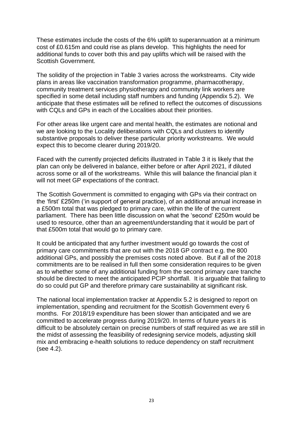These estimates include the costs of the 6% uplift to superannuation at a minimum cost of £0.615m and could rise as plans develop. This highlights the need for additional funds to cover both this and pay uplifts which will be raised with the Scottish Government.

The solidity of the projection in Table 3 varies across the workstreams. City wide plans in areas like vaccination transformation programme, pharmacotherapy, community treatment services physiotherapy and community link workers are specified in some detail including staff numbers and funding (Appendix 5.2). We anticipate that these estimates will be refined to reflect the outcomes of discussions with CQLs and GPs in each of the Localities about their priorities.

For other areas like urgent care and mental health, the estimates are notional and we are looking to the Locality deliberations with CQLs and clusters to identify substantive proposals to deliver these particular priority workstreams. We would expect this to become clearer during 2019/20.

Faced with the currently projected deficits illustrated in Table 3 it is likely that the plan can only be delivered in balance, either before or after April 2021, if diluted across some or all of the workstreams. While this will balance the financial plan it will not meet GP expectations of the contract.

The Scottish Government is committed to engaging with GPs via their contract on the 'first' £250m ('in support of general practice), of an additional annual increase in a £500m total that was pledged to primary care, within the life of the current parliament. There has been little discussion on what the 'second' £250m would be used to resource, other than an agreement/understanding that it would be part of that £500m total that would go to primary care.

It could be anticipated that any further investment would go towards the cost of primary care commitments that are out with the 2018 GP contract e.g. the 800 additional GPs, and possibly the premises costs noted above. But if all of the 2018 commitments are to be realised in full then some consideration requires to be given as to whether some of any additional funding from the second primary care tranche should be directed to meet the anticipated PCIP shortfall. It is arguable that failing to do so could put GP and therefore primary care sustainability at significant risk.

The national local implementation tracker at Appendix 5.2 is designed to report on implementation, spending and recruitment for the Scottish Government every 6 months. For 2018/19 expenditure has been slower than anticipated and we are committed to accelerate progress during 2019/20. In terms of future years it is difficult to be absolutely certain on precise numbers of staff required as we are still in the midst of assessing the feasibility of redesigning service models, adjusting skill mix and embracing e-health solutions to reduce dependency on staff recruitment (see 4.2).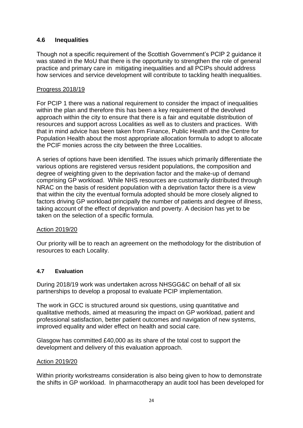# **4.6 Inequalities**

Though not a specific requirement of the Scottish Government's PCIP 2 guidance it was stated in the MoU that there is the opportunity to strengthen the role of general practice and primary care in mitigating inequalities and all PCIPs should address how services and service development will contribute to tackling health inequalities.

# Progress 2018/19

For PCIP 1 there was a national requirement to consider the impact of inequalities within the plan and therefore this has been a key requirement of the devolved approach within the city to ensure that there is a fair and equitable distribution of resources and support across Localities as well as to clusters and practices. With that in mind advice has been taken from Finance, Public Health and the Centre for Population Health about the most appropriate allocation formula to adopt to allocate the PCIF monies across the city between the three Localities.

A series of options have been identified. The issues which primarily differentiate the various options are registered versus resident populations, the composition and degree of weighting given to the deprivation factor and the make-up of demand comprising GP workload. While NHS resources are customarily distributed through NRAC on the basis of resident population with a deprivation factor there is a view that within the city the eventual formula adopted should be more closely aligned to factors driving GP workload principally the number of patients and degree of illness, taking account of the effect of deprivation and poverty. A decision has yet to be taken on the selection of a specific formula.

# Action 2019/20

Our priority will be to reach an agreement on the methodology for the distribution of resources to each Locality.

# **4.7 Evaluation**

During 2018/19 work was undertaken across NHSGG&C on behalf of all six partnerships to develop a proposal to evaluate PCIP implementation.

The work in GCC is structured around six questions, using quantitative and qualitative methods, aimed at measuring the impact on GP workload, patient and professional satisfaction, better patient outcomes and navigation of new systems, improved equality and wider effect on health and social care.

Glasgow has committed £40,000 as its share of the total cost to support the development and delivery of this evaluation approach.

# Action 2019/20

Within priority workstreams consideration is also being given to how to demonstrate the shifts in GP workload. In pharmacotherapy an audit tool has been developed for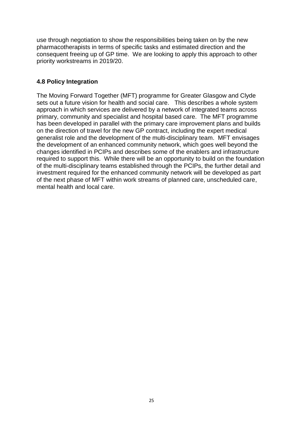use through negotiation to show the responsibilities being taken on by the new pharmacotherapists in terms of specific tasks and estimated direction and the consequent freeing up of GP time. We are looking to apply this approach to other priority workstreams in 2019/20.

# **4.8 Policy Integration**

The Moving Forward Together (MFT) programme for Greater Glasgow and Clyde sets out a future vision for health and social care. This describes a whole system approach in which services are delivered by a network of integrated teams across primary, community and specialist and hospital based care. The MFT programme has been developed in parallel with the primary care improvement plans and builds on the direction of travel for the new GP contract, including the expert medical generalist role and the development of the multi-disciplinary team. MFT envisages the development of an enhanced community network, which goes well beyond the changes identified in PCIPs and describes some of the enablers and infrastructure required to support this. While there will be an opportunity to build on the foundation of the multi-disciplinary teams established through the PCIPs, the further detail and investment required for the enhanced community network will be developed as part of the next phase of MFT within work streams of planned care, unscheduled care, mental health and local care.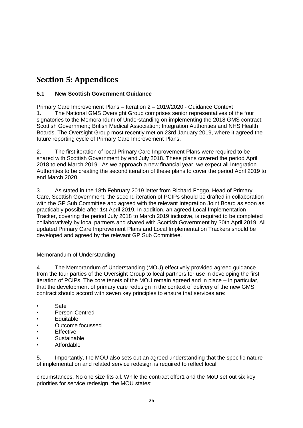# **Section 5: Appendices**

# **5.1 New Scottish Government Guidance**

Primary Care Improvement Plans – Iteration 2 – 2019/2020 - Guidance Context 1. The National GMS Oversight Group comprises senior representatives of the four signatories to the Memorandum of Understanding on implementing the 2018 GMS contract: Scottish Government; British Medical Association; Integration Authorities and NHS Health Boards. The Oversight Group most recently met on 23rd January 2019, where it agreed the future reporting cycle of Primary Care Improvement Plans.

2. The first iteration of local Primary Care Improvement Plans were required to be shared with Scottish Government by end July 2018. These plans covered the period April 2018 to end March 2019. As we approach a new financial year, we expect all Integration Authorities to be creating the second iteration of these plans to cover the period April 2019 to end March 2020.

3. As stated in the 18th February 2019 letter from Richard Foggo, Head of Primary Care, Scottish Government, the second iteration of PCIPs should be drafted in collaboration with the GP Sub Committee and agreed with the relevant Integration Joint Board as soon as practicably possible after 1st April 2019. In addition, an agreed Local Implementation Tracker, covering the period July 2018 to March 2019 inclusive, is required to be completed collaboratively by local partners and shared with Scottish Government by 30th April 2019. All updated Primary Care Improvement Plans and Local Implementation Trackers should be developed and agreed by the relevant GP Sub Committee.

# Memorandum of Understanding

4. The Memorandum of Understanding (MOU) effectively provided agreed guidance from the four parties of the Oversight Group to local partners for use in developing the first iteration of PCIPs. The core tenets of the MOU remain agreed and in place – in particular, that the development of primary care redesign in the context of delivery of the new GMS contract should accord with seven key principles to ensure that services are:

- Safe
- Person-Centred
- **Equitable**
- Outcome focussed
- **Effective**
- **Sustainable**
- Affordable

5. Importantly, the MOU also sets out an agreed understanding that the specific nature of implementation and related service redesign is required to reflect local

circumstances. No one size fits all. While the contract offer1 and the MoU set out six key priorities for service redesign, the MOU states: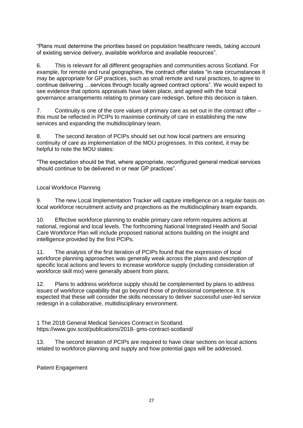"Plans must determine the priorities based on population healthcare needs, taking account of existing service delivery, available workforce and available resources".

6. This is relevant for all different geographies and communities across Scotland. For example, for remote and rural geographies, the contract offer states "in rare circumstances it may be appropriate for GP practices, such as small remote and rural practices, to agree to continue delivering …services through locally agreed contract options". We would expect to see evidence that options appraisals have taken place, and agreed with the local governance arrangements relating to primary care redesign, before this decision is taken.

7. Continuity is one of the core values of primary care as set out in the contract offer – this must be reflected in PCIPs to maximise continuity of care in establishing the new services and expanding the multidisciplinary team.

8. The second iteration of PCIPs should set out how local partners are ensuring continuity of care as implementation of the MOU progresses. In this context, it may be helpful to note the MOU states:

"The expectation should be that, where appropriate, reconfigured general medical services should continue to be delivered in or near GP practices".

## Local Workforce Planning

9. The new Local Implementation Tracker will capture intelligence on a regular basis on local workforce recruitment activity and projections as the multidisciplinary team expands.

10. Effective workforce planning to enable primary care reform requires actions at national, regional and local levels. The forthcoming National Integrated Health and Social Care Workforce Plan will include proposed national actions building on the insight and intelligence provided by the first PCIPs.

11. The analysis of the first iteration of PCIPs found that the expression of local workforce planning approaches was generally weak across the plans and description of specific local actions and levers to increase workforce supply (including consideration of workforce skill mix) were generally absent from plans.

12. Plans to address workforce supply should be complemented by plans to address issues of workforce capability that go beyond those of professional competence. It is expected that these will consider the skills necessary to deliver successful user-led service redesign in a collaborative, multidisciplinary environment.

1 The 2018 General Medical Services Contract in Scotland. https://www.gov.scot/publications/2018- gms-contract-scotland/

13. The second iteration of PCIPs are required to have clear sections on local actions related to workforce planning and supply and how potential gaps will be addressed.

Patient Engagement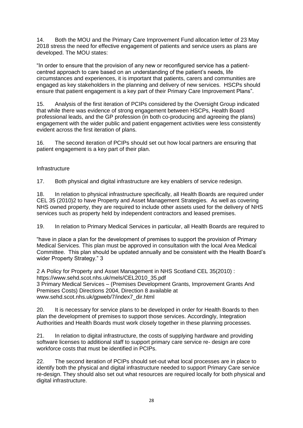14. Both the MOU and the Primary Care Improvement Fund allocation letter of 23 May 2018 stress the need for effective engagement of patients and service users as plans are developed. The MOU states:

"In order to ensure that the provision of any new or reconfigured service has a patientcentred approach to care based on an understanding of the patient's needs, life circumstances and experiences, it is important that patients, carers and communities are engaged as key stakeholders in the planning and delivery of new services. HSCPs should ensure that patient engagement is a key part of their Primary Care Improvement Plans".

15. Analysis of the first iteration of PCIPs considered by the Oversight Group indicated that while there was evidence of strong engagement between HSCPs, Health Board professional leads, and the GP profession (in both co-producing and agreeing the plans) engagement with the wider public and patient engagement activities were less consistently evident across the first iteration of plans.

16. The second iteration of PCIPs should set out how local partners are ensuring that patient engagement is a key part of their plan.

## **Infrastructure**

17. Both physical and digital infrastructure are key enablers of service redesign.

18. In relation to physical infrastructure specifically, all Health Boards are required under CEL 35 (2010)2 to have Property and Asset Management Strategies. As well as covering NHS owned property, they are required to include other assets used for the delivery of NHS services such as property held by independent contractors and leased premises.

19. In relation to Primary Medical Services in particular, all Health Boards are required to

"have in place a plan for the development of premises to support the provision of Primary Medical Services. This plan must be approved in consultation with the local Area Medical Committee. This plan should be updated annually and be consistent with the Health Board's wider Property Strategy." 3

2 A Policy for Property and Asset Management in NHS Scotland CEL 35(2010) : https://www.sehd.scot.nhs.uk/mels/CEL2010\_35.pdf 3 Primary Medical Services – (Premises Development Grants, Improvement Grants And Premises Costs) Directions 2004, Direction 8 available at www.sehd.scot.nhs.uk/gpweb/7/index7\_dir.html

20. It is necessary for service plans to be developed in order for Health Boards to then plan the development of premises to support those services. Accordingly, Integration Authorities and Health Boards must work closely together in these planning processes.

21. In relation to digital infrastructure, the costs of supplying hardware and providing software licenses to additional staff to support primary care service re- design are core workforce costs that must be identified in PCIPs.

22. The second iteration of PCIPs should set-out what local processes are in place to identify both the physical and digital infrastructure needed to support Primary Care service re-design. They should also set out what resources are required locally for both physical and digital infrastructure.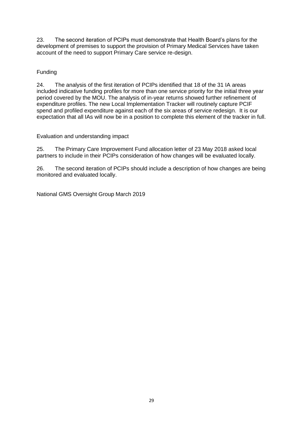23. The second iteration of PCIPs must demonstrate that Health Board's plans for the development of premises to support the provision of Primary Medical Services have taken account of the need to support Primary Care service re-design.

# Funding

24. The analysis of the first iteration of PCIPs identified that 18 of the 31 IA areas included indicative funding profiles for more than one service priority for the initial three year period covered by the MOU. The analysis of in-year returns showed further refinement of expenditure profiles. The new Local Implementation Tracker will routinely capture PCIF spend and profiled expenditure against each of the six areas of service redesign. It is our expectation that all IAs will now be in a position to complete this element of the tracker in full.

Evaluation and understanding impact

25. The Primary Care Improvement Fund allocation letter of 23 May 2018 asked local partners to include in their PCIPs consideration of how changes will be evaluated locally.

26. The second iteration of PCIPs should include a description of how changes are being monitored and evaluated locally.

National GMS Oversight Group March 2019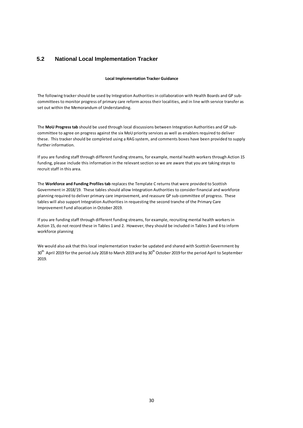## **5.2 National Local Implementation Tracker**

#### **Local Implementation Tracker Guidance**

The following tracker should be used by Integration Authorities in collaboration with Health Boards and GP subcommittees to monitor progress of primary care reform across their localities, and in line with service transfer as set out within the Memorandum of Understanding.

The **MoU Progress tab** should be used through local discussions between Integration Authorities and GP subcommittee to agree on progress against the six MoU priority services as well as enablers required to deliver these. This tracker should be completed using a RAG system, and comments boxes have been provided to supply further information.

If you are funding staff through different funding streams, for example, mental health workers through Action 15 funding, please include this information in the relevant section so we are aware that you are taking steps to recruit staff in this area.

The **Workforce and Funding Profiles tab** replaces the Template C returns that were provided to Scottish Government in 2018/19. These tables should allow Integration Authorities to consider financial and workforce planning required to deliver primary care improvement, and reassure GP sub-committee of progress. These tables will also support Integration Authorities in requesting the second tranche of the Primary Care Improvement Fund allocation in October 2019.

If you are funding staff through different funding streams, for example, recruiting mental health workers in Action 15, do not record these in Tables 1 and 2. However, they should be included in Tables 3 and 4 to inform workforce planning

We would also ask that this local implementation tracker be updated and shared with Scottish Government by 30<sup>th</sup> April 2019 for the period July 2018 to March 2019 and by 30<sup>th</sup> October 2019 for the period April to September 2019.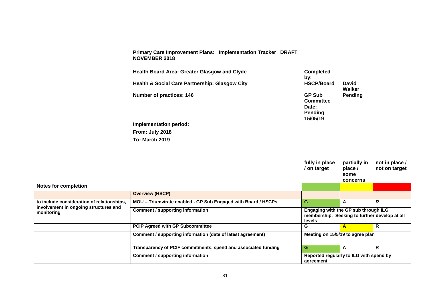**Primary Care Improvement Plans: Implementation Tracker DRAFT NOVEMBER 2018**

**Health Board Area: Greater Glasgow and Clyde Completed Completed** by:<br>HSCP/Board Health & Social Care Partnership: Glasgow City **HSCP/Board** David **Walker Number of practices: 146 GP Sub GP Sub Committee Pending Date: Pending 15/05/19 Implementation period: From: July 2018 To: March 2019**

|                                                     |                                                                | fully in place<br>/ on target                                                                          | partially in<br>place /<br>some<br>concerns | not in place /<br>not on target |
|-----------------------------------------------------|----------------------------------------------------------------|--------------------------------------------------------------------------------------------------------|---------------------------------------------|---------------------------------|
| <b>Notes for completion</b>                         |                                                                |                                                                                                        |                                             |                                 |
|                                                     | <b>Overview (HSCP)</b>                                         |                                                                                                        |                                             |                                 |
| to include consideration of relationships,          | MOU - Triumvirate enabled - GP Sub Engaged with Board / HSCPs  | G                                                                                                      | A                                           | $\boldsymbol{R}$                |
| involvement in ongoing structures and<br>monitoring | <b>Comment / supporting information</b>                        | Engaging with the GP sub through ILG<br>membership. Seeking to further develop at all<br><b>levels</b> |                                             |                                 |
|                                                     | <b>PCIP Agreed with GP Subcommittee</b>                        | G                                                                                                      | A                                           | R                               |
|                                                     | Comment / supporting information (date of latest agreement)    | Meeting on 15/5/19 to agree plan                                                                       |                                             |                                 |
|                                                     | Transparency of PCIF commitments, spend and associated funding | G.                                                                                                     | A                                           | R                               |
|                                                     | <b>Comment / supporting information</b>                        | Reported regularly to ILG with spend by<br>agreement                                                   |                                             |                                 |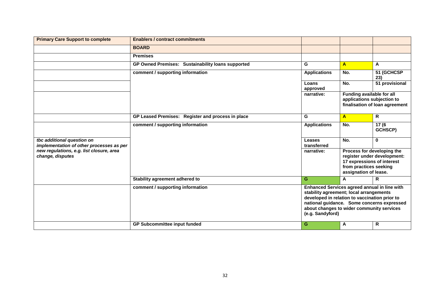| <b>Primary Care Support to complete</b>                                | <b>Enablers / contract commitments</b>            |                                                                                                                                                                                                           |                                                                               |                                                           |
|------------------------------------------------------------------------|---------------------------------------------------|-----------------------------------------------------------------------------------------------------------------------------------------------------------------------------------------------------------|-------------------------------------------------------------------------------|-----------------------------------------------------------|
|                                                                        | <b>BOARD</b>                                      |                                                                                                                                                                                                           |                                                                               |                                                           |
|                                                                        | <b>Premises</b>                                   |                                                                                                                                                                                                           |                                                                               |                                                           |
|                                                                        | GP Owned Premises: Sustainability loans supported | G                                                                                                                                                                                                         | $\mathsf{A}$                                                                  | A                                                         |
|                                                                        | comment / supporting information                  | <b>Applications</b>                                                                                                                                                                                       | No.                                                                           | 51 (GCHCSP<br>23)                                         |
|                                                                        |                                                   | Loans<br>approved                                                                                                                                                                                         | No.                                                                           | 51 provisional                                            |
|                                                                        |                                                   | narrative:                                                                                                                                                                                                | Funding available for all<br>applications subjection to                       | finalisation of loan agreement                            |
|                                                                        | GP Leased Premises: Register and process in place | G                                                                                                                                                                                                         | $\mathbf{A}$                                                                  | $\mathsf{R}$                                              |
|                                                                        | comment / supporting information                  | <b>Applications</b>                                                                                                                                                                                       | No.                                                                           | $\overline{17(6)}$<br>GCHSCP)                             |
| tbc additional question on<br>implementation of other processes as per |                                                   | Leases<br>transferred                                                                                                                                                                                     | No.                                                                           | $\mathbf 0$                                               |
| new regulations, e.g. list closure, area<br>change, disputes           |                                                   | narrative:                                                                                                                                                                                                | 17 expressions of interest<br>from practices seeking<br>assignation of lease. | Process for developing the<br>register under development: |
|                                                                        | Stability agreement adhered to                    | G                                                                                                                                                                                                         | A                                                                             | R                                                         |
|                                                                        | comment / supporting information                  | Enhanced Services agreed annual in line with<br>stability agreement; local arrangements<br>developed in relation to vaccination prior to<br>about changes to wider community services<br>(e.g. Sandyford) |                                                                               | national guidance. Some concerns expressed                |
|                                                                        | <b>GP Subcommittee input funded</b>               | G                                                                                                                                                                                                         | A                                                                             | $\overline{\mathsf{R}}$                                   |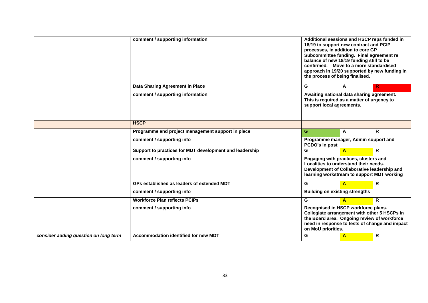|                                       | comment / supporting information                                         | Additional sessions and HSCP reps funded in<br>18/19 to support new contract and PCIP<br>processes, in addition to core GP<br>Subcommittee funding. Final agreement re<br>balance of new 18/19 funding still to be<br>confirmed. Move to a more standardised<br>approach in 19/20 supported by new funding in<br>the process of being finalised. |                |              |  |
|---------------------------------------|--------------------------------------------------------------------------|--------------------------------------------------------------------------------------------------------------------------------------------------------------------------------------------------------------------------------------------------------------------------------------------------------------------------------------------------|----------------|--------------|--|
|                                       | Data Sharing Agreement in Place                                          | G                                                                                                                                                                                                                                                                                                                                                | A              | R            |  |
|                                       | comment / supporting information                                         | Awaiting national data sharing agreement.<br>This is required as a matter of urgency to<br>support local agreements.                                                                                                                                                                                                                             |                |              |  |
|                                       |                                                                          |                                                                                                                                                                                                                                                                                                                                                  |                |              |  |
|                                       | <b>HSCP</b>                                                              |                                                                                                                                                                                                                                                                                                                                                  |                |              |  |
|                                       | Programme and project management support in place                        | G.<br>R.<br>A                                                                                                                                                                                                                                                                                                                                    |                |              |  |
|                                       | comment / supporting info                                                | Programme manager, Admin support and<br>PCDO's in post                                                                                                                                                                                                                                                                                           |                |              |  |
|                                       | Support to practices for MDT development and leadership                  | G                                                                                                                                                                                                                                                                                                                                                | $\overline{A}$ | $\mathsf{R}$ |  |
|                                       | comment / supporting info                                                | Engaging with practices, clusters and<br>Localities to understand their needs.<br>Development of Collaborative leadership and<br>learning workstream to support MDT working                                                                                                                                                                      |                |              |  |
|                                       | GPs established as leaders of extended MDT                               | G                                                                                                                                                                                                                                                                                                                                                | $\overline{A}$ | $\mathsf{R}$ |  |
|                                       | comment / supporting info                                                | <b>Building on existing strengths</b>                                                                                                                                                                                                                                                                                                            |                |              |  |
|                                       | <b>Workforce Plan reflects PCIPs</b>                                     | G<br>$\mathsf{R}$<br>$\overline{A}$                                                                                                                                                                                                                                                                                                              |                |              |  |
| consider adding question on long term | comment / supporting info<br><b>Accommodation identified for new MDT</b> | Recognised in HSCP workforce plans.<br>Collegiate arrangement with other 5 HSCPs in<br>the Board area. Ongoing review of workforce<br>need in response to tests of change and impact<br>on MoU priorities.<br>R<br>G                                                                                                                             |                |              |  |
|                                       |                                                                          |                                                                                                                                                                                                                                                                                                                                                  | $\mathbf{A}$   |              |  |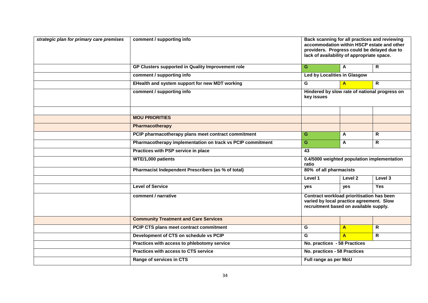| strategic plan for primary care premises | comment / supporting info                                  |                        | Back scanning for all practices and reviewing<br>accommodation within HSCP estate and other<br>providers. Progress could be delayed due to<br>lack of availability of appropriate space. |                                               |  |  |
|------------------------------------------|------------------------------------------------------------|------------------------|------------------------------------------------------------------------------------------------------------------------------------------------------------------------------------------|-----------------------------------------------|--|--|
|                                          | GP Clusters supported in Quality Improvement role          | G.                     | $\mathbf{A}$                                                                                                                                                                             | $\mathsf{R}$                                  |  |  |
|                                          | comment / supporting info                                  |                        | Led by Localities in Glasgow                                                                                                                                                             |                                               |  |  |
|                                          | EHealth and system support for new MDT working             | G                      | $\mathbf{A}$                                                                                                                                                                             | R.                                            |  |  |
|                                          | comment / supporting info                                  | key issues             |                                                                                                                                                                                          | Hindered by slow rate of national progress on |  |  |
|                                          | <b>MOU PRIORITIES</b>                                      |                        |                                                                                                                                                                                          |                                               |  |  |
|                                          |                                                            |                        |                                                                                                                                                                                          |                                               |  |  |
|                                          | Pharmacotherapy                                            |                        |                                                                                                                                                                                          |                                               |  |  |
|                                          | PCIP pharmacotherapy plans meet contract commitment        | G.                     | Α                                                                                                                                                                                        | R                                             |  |  |
|                                          | Pharmacotherapy implementation on track vs PCIP commitment | G.                     | A                                                                                                                                                                                        | R                                             |  |  |
|                                          | Practices with PSP service in place                        | $\overline{43}$        | 0.4/5000 weighted population implementation                                                                                                                                              |                                               |  |  |
|                                          | WTE/1,000 patients                                         | ratio                  |                                                                                                                                                                                          |                                               |  |  |
|                                          | Pharmacist Independent Prescribers (as % of total)         | 80% of all pharmacists |                                                                                                                                                                                          |                                               |  |  |
|                                          |                                                            | Level 1                | Level 2                                                                                                                                                                                  | Level 3                                       |  |  |
|                                          | <b>Level of Service</b>                                    | yes                    | yes                                                                                                                                                                                      | <b>Yes</b>                                    |  |  |
|                                          | comment / narrative                                        |                        | Contract workload prioritisation has been<br>varied by local practice agreement. Slow<br>recruitment based on available supply.                                                          |                                               |  |  |
|                                          | <b>Community Treatment and Care Services</b>               |                        | R.<br>G<br>A<br>G<br>R.<br>$\mathbf{A}$                                                                                                                                                  |                                               |  |  |
|                                          | PCIP CTS plans meet contract commitment                    |                        |                                                                                                                                                                                          |                                               |  |  |
|                                          | Development of CTS on schedule vs PCIP                     |                        |                                                                                                                                                                                          |                                               |  |  |
|                                          | Practices with access to phlebotomy service                |                        | No. practices - 58 Practices                                                                                                                                                             |                                               |  |  |
|                                          | <b>Practices with access to CTS service</b>                |                        | No. practices - 58 Practices                                                                                                                                                             |                                               |  |  |
|                                          | Range of services in CTS                                   |                        | Full range as per MoU                                                                                                                                                                    |                                               |  |  |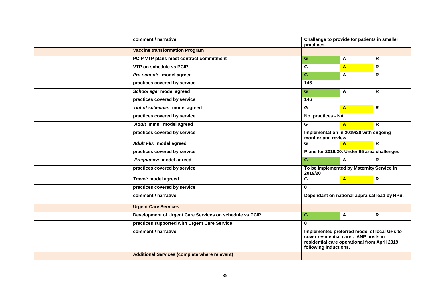| comment / narrative                                     | practices.                                                                                                                                                   | Challenge to provide for patients in smaller |                         |  |
|---------------------------------------------------------|--------------------------------------------------------------------------------------------------------------------------------------------------------------|----------------------------------------------|-------------------------|--|
| <b>Vaccine transformation Program</b>                   |                                                                                                                                                              |                                              |                         |  |
| PCIP VTP plans meet contract commitment                 | $\overline{G}$                                                                                                                                               | A                                            | $\overline{\mathsf{R}}$ |  |
| VTP on schedule vs PCIP                                 | G                                                                                                                                                            | $\mathbf{A}$                                 | R                       |  |
| Pre-school: model agreed                                | G                                                                                                                                                            | A                                            | R.                      |  |
| practices covered by service                            | 146                                                                                                                                                          |                                              |                         |  |
| School age: model agreed                                | G                                                                                                                                                            | A                                            | R.                      |  |
| practices covered by service                            | 146                                                                                                                                                          |                                              |                         |  |
| out of schedule: model agreed                           | G.                                                                                                                                                           | $\mathbf{A}$                                 | R                       |  |
| practices covered by service                            | No. practices - NA                                                                                                                                           |                                              |                         |  |
| Adult imms: model agreed                                | G                                                                                                                                                            | $\overline{A}$                               | R.                      |  |
| practices covered by service                            | Implementation in 2019/20 with ongoing<br>monitor and review                                                                                                 |                                              |                         |  |
| Adult Flu: model agreed                                 | G                                                                                                                                                            | $\mathbf{A}$                                 | $\overline{R}$          |  |
| practices covered by service                            |                                                                                                                                                              | Plans for 2019/20. Under 65 area challenges  |                         |  |
| Pregnancy: model agreed                                 | G                                                                                                                                                            | $\mathbf{A}$                                 | R.                      |  |
| practices covered by service                            | To be implemented by Maternity Service in<br>2019/20                                                                                                         |                                              |                         |  |
| Travel: model agreed                                    | G                                                                                                                                                            | $\mathbf{A}$                                 | $\overline{R}$          |  |
| practices covered by service                            | $\mathbf{0}$                                                                                                                                                 |                                              |                         |  |
| comment / narrative                                     | Dependant on national appraisal lead by HPS.                                                                                                                 |                                              |                         |  |
| <b>Urgent Care Services</b>                             |                                                                                                                                                              |                                              |                         |  |
| Development of Urgent Care Services on schedule vs PCIP | G.                                                                                                                                                           | A                                            | R.                      |  |
| practices supported with Urgent Care Service            | $\Omega$                                                                                                                                                     |                                              |                         |  |
| comment / narrative                                     | Implemented preferred model of local GPs to<br>cover residential care. ANP posts in<br>residential care operational from April 2019<br>following inductions. |                                              |                         |  |
| <b>Additional Services (complete where relevant)</b>    |                                                                                                                                                              |                                              |                         |  |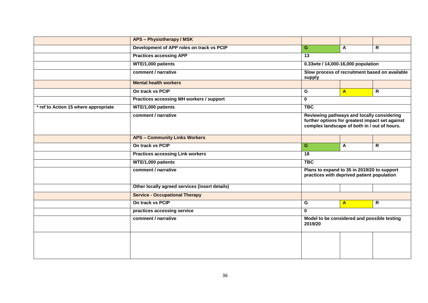|                                      | <b>APS - Physiotherapy / MSK</b>               |                                                        |                                                |                                                                                                                                               |  |  |  |
|--------------------------------------|------------------------------------------------|--------------------------------------------------------|------------------------------------------------|-----------------------------------------------------------------------------------------------------------------------------------------------|--|--|--|
|                                      | Development of APP roles on track vs PCIP      | G.                                                     | A                                              | R.                                                                                                                                            |  |  |  |
|                                      | <b>Practices accessing APP</b>                 | $\overline{13}$                                        |                                                |                                                                                                                                               |  |  |  |
|                                      | WTE/1,000 patients                             |                                                        | 0.33wte / 14,000-16,000 population             |                                                                                                                                               |  |  |  |
|                                      | comment / narrative                            | supply                                                 | Slow process of recruitment based on available |                                                                                                                                               |  |  |  |
|                                      | <b>Mental health workers</b>                   |                                                        |                                                |                                                                                                                                               |  |  |  |
|                                      | On track vs PCIP                               | G                                                      | $\mathbf{A}$                                   | $\overline{R}$                                                                                                                                |  |  |  |
|                                      | Practices accessing MH workers / support       | 0                                                      |                                                |                                                                                                                                               |  |  |  |
| * ref to Action 15 where appropriate | WTE/1,000 patients                             | <b>TBC</b>                                             |                                                |                                                                                                                                               |  |  |  |
|                                      | comment / narrative                            |                                                        |                                                | Reviewing pathways and locally considering<br>further options for greatest impact set against<br>complex landscape of both in / out of hours. |  |  |  |
|                                      | <b>APS - Community Links Workers</b>           |                                                        |                                                |                                                                                                                                               |  |  |  |
|                                      | On track vs PCIP                               | G.                                                     | A                                              | R.                                                                                                                                            |  |  |  |
|                                      | <b>Practices accessing Link workers</b>        | 18                                                     |                                                |                                                                                                                                               |  |  |  |
|                                      | WTE/1,000 patients                             | <b>TBC</b>                                             |                                                |                                                                                                                                               |  |  |  |
|                                      | comment / narrative                            |                                                        |                                                | Plans to expand to 35 in 2019/20 to support<br>practices with deprived patient population                                                     |  |  |  |
|                                      | Other locally agreed services (insert details) |                                                        |                                                |                                                                                                                                               |  |  |  |
|                                      | <b>Service - Occupational Therapy</b>          |                                                        |                                                |                                                                                                                                               |  |  |  |
|                                      | On track vs PCIP                               | G                                                      | $\mathbf{A}$                                   | R.                                                                                                                                            |  |  |  |
|                                      | practices accessing service                    | 0                                                      |                                                |                                                                                                                                               |  |  |  |
|                                      | comment / narrative                            | Model to be considered and possible testing<br>2019/20 |                                                |                                                                                                                                               |  |  |  |
|                                      |                                                |                                                        |                                                |                                                                                                                                               |  |  |  |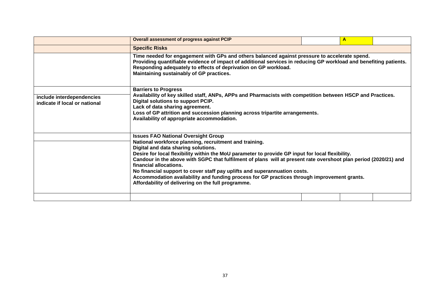|                                                            | <b>Overall assessment of progress against PCIP</b>                                                                                                                                                                                                                                                                                                                                                                                                                                                                                                                                                                              |  | A |  |  |  |  |  |
|------------------------------------------------------------|---------------------------------------------------------------------------------------------------------------------------------------------------------------------------------------------------------------------------------------------------------------------------------------------------------------------------------------------------------------------------------------------------------------------------------------------------------------------------------------------------------------------------------------------------------------------------------------------------------------------------------|--|---|--|--|--|--|--|
|                                                            | <b>Specific Risks</b>                                                                                                                                                                                                                                                                                                                                                                                                                                                                                                                                                                                                           |  |   |  |  |  |  |  |
|                                                            | Time needed for engagement with GPs and others balanced against pressure to accelerate spend.<br>Providing quantifiable evidence of impact of additional services in reducing GP workload and benefiting patients.<br>Responding adequately to effects of deprivation on GP workload.<br>Maintaining sustainably of GP practices.                                                                                                                                                                                                                                                                                               |  |   |  |  |  |  |  |
| include interdependencies<br>indicate if local or national | <b>Barriers to Progress</b><br>Availability of key skilled staff, ANPs, APPs and Pharmacists with competition between HSCP and Practices.<br>Digital solutions to support PCIP.<br>Lack of data sharing agreement.<br>Loss of GP attrition and succession planning across tripartite arrangements.<br>Availability of appropriate accommodation.                                                                                                                                                                                                                                                                                |  |   |  |  |  |  |  |
|                                                            | <b>Issues FAO National Oversight Group</b><br>National workforce planning, recruitment and training.<br>Digital and data sharing solutions.<br>Desire for local flexibility within the MoU parameter to provide GP input for local flexibility.<br>Candour in the above with SGPC that fulfilment of plans will at present rate overshoot plan period (2020/21) and<br>financial allocations.<br>No financial support to cover staff pay uplifts and superannuation costs.<br>Accommodation availability and funding process for GP practices through improvement grants.<br>Affordability of delivering on the full programme. |  |   |  |  |  |  |  |
|                                                            |                                                                                                                                                                                                                                                                                                                                                                                                                                                                                                                                                                                                                                 |  |   |  |  |  |  |  |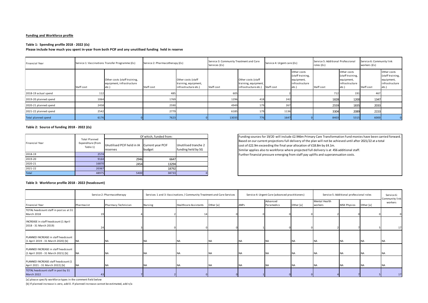#### **Funding and Workforce profile**

#### **Table 1: Spending profile 2018 - 2022 (£s)**

#### **Please include how much you spent in-year from both PCIF and any unutilised funding held in reserve**

| Financial Year                            |            | Service 1: Vaccinations Transfer Programme (£s)                    | Service 2: Pharmacotherapy (£s) |                                                                    | Service 3: Community Treatment and Care<br>Services (£s) |                                                                    | Service 4: Urgent care (£s) |                                                                          | Service 5: Additional Professional<br>roles (£s) |                                                                         | Service 6: Community link<br>workers (£s) |                                                                          |
|-------------------------------------------|------------|--------------------------------------------------------------------|---------------------------------|--------------------------------------------------------------------|----------------------------------------------------------|--------------------------------------------------------------------|-----------------------------|--------------------------------------------------------------------------|--------------------------------------------------|-------------------------------------------------------------------------|-------------------------------------------|--------------------------------------------------------------------------|
|                                           | Staff cost | Other costs (staff training,<br>equipment, infrastructure<br>etc.) | Staff cost                      | Other costs (staff<br>training, equipment,<br>infrastructure etc.) | Staff cost                                               | Other costs (staff<br>training, equipment,<br>infrastructure etc.) | Staff cost                  | Other costs<br>(staff training,<br>equipment,<br>infrastructure<br>etc.) | Staff cost                                       | Other costs<br>(staff training,<br>equipment,<br>infrastructure<br>etc. | Staff cost                                | Other costs<br>(staff training,<br>equipment,<br>infrastructure<br>etc.) |
| 2018-19 actual spend                      | 112        |                                                                    |                                 |                                                                    | 605                                                      |                                                                    |                             |                                                                          | 712                                              | 191                                                                     | 467                                       |                                                                          |
| 2019-20 planned spend                     | 1064       |                                                                    | 1769                            |                                                                    | 1296                                                     | 418                                                                | 242                         |                                                                          | 1828                                             | 1200                                                                    | 1347                                      |                                                                          |
| 2020-21 planned spend                     | 2458       |                                                                    | 2590                            |                                                                    | 4949                                                     | 179                                                                | 267                         |                                                                          | 2559                                             | 1835                                                                    | 2033                                      |                                                                          |
| 2021-22 planned spend                     | 2542       |                                                                    | 2779                            |                                                                    | 6185                                                     | 179                                                                | 1136                        |                                                                          | 3304                                             | 2089                                                                    | 2153                                      |                                                                          |
| Total planned spend                       | 6176       |                                                                    | 7623                            |                                                                    | 13035                                                    | 776                                                                | 1647                        |                                                                          | 8403                                             | 5315                                                                    | 6000                                      |                                                                          |
| Toble 2: Source of funding 2019 2022 (fe) |            |                                                                    |                                 |                                                                    |                                                          |                                                                    |                             |                                                                          |                                                  |                                                                         |                                           |                                                                          |

#### **Table 2: Source of funding 2018 - 2022 (£s)**

|                |                                                       | Of which, funded from:                 |                                    |                                            |  |  |  |
|----------------|-------------------------------------------------------|----------------------------------------|------------------------------------|--------------------------------------------|--|--|--|
| Financial Year | <b>Total Planned</b><br>Expenditure (from<br>Table 1) | Unutilised PCIF held in IA<br>reserves | <b>Current year PCIF</b><br>budget | Unutilised tranche 2<br>funding held by SG |  |  |  |
| 2018-19        | 2574                                                  |                                        |                                    |                                            |  |  |  |
| 2019-20        | 9164                                                  | 2946                                   | 6647                               |                                            |  |  |  |
| 2020-21        | 16870                                                 | 2454                                   | 13294                              |                                            |  |  |  |
| 2021-22        | 20367                                                 |                                        | 18792                              |                                            |  |  |  |
| <b>Total</b>   | 48975                                                 | 5400                                   | 38733                              |                                            |  |  |  |

Funding sources for 19/20 will include £2.946m Primary Care Transformation Fund monies have been carried forward. Based on our current projections full delivery of the plan will not be achieved until after 2021/22 at a total cost of £22.9m exceeding the final year allocation of £18.8m by £4.1m.

Similar applies also to workforce where projected full delivery is at 456 additional staff. Further financial pressure emerging from staff pay uplifts and superannuation costs.

| 2021-22                                                                                                                                                   | 20367                      |                     | 18792                                                                  |                              |           |                                                 |                        |           |                                          |                    |           |                           |
|-----------------------------------------------------------------------------------------------------------------------------------------------------------|----------------------------|---------------------|------------------------------------------------------------------------|------------------------------|-----------|-------------------------------------------------|------------------------|-----------|------------------------------------------|--------------------|-----------|---------------------------|
| Total                                                                                                                                                     | 48975                      | 5400                | 38733                                                                  |                              |           |                                                 |                        |           |                                          |                    |           |                           |
| Table 3: Workforce profile 2018 - 2022 (headcount)                                                                                                        |                            |                     |                                                                        |                              |           |                                                 |                        |           |                                          |                    |           |                           |
|                                                                                                                                                           | Service 2: Pharmacotherapy |                     | Services 1 and 3: Vaccinations / Community Treatment and Care Services |                              |           | Service 4: Urgent Care (advanced practitioners) |                        |           | Service 5: Additional professional roles |                    |           | Service 6:                |
| Financial Year                                                                                                                                            | Pharmacist                 | Pharmacy Technician | Nursing                                                                | <b>Healthcare Assistants</b> | Other [a] | <b>ANPs</b>                                     | Advanced<br>Paramedics | Other [a] | Mental Health<br>workers                 | <b>MSK Physios</b> | Other [a] | Community link<br>workers |
| TOTAL headcount staff in post as at 31<br>March 2018                                                                                                      |                            |                     |                                                                        |                              |           |                                                 |                        |           |                                          |                    |           |                           |
| INCREASE in staff headcount (1 April<br>2018 - 31 March 2019)                                                                                             |                            |                     |                                                                        |                              |           |                                                 |                        |           |                                          |                    |           | 17                        |
| PLANNED INCREASE in staff headcount<br>(1 April 2019 - 31 March 2020) [b]                                                                                 | <b>NA</b>                  | NA.                 | NA                                                                     | <b>NA</b>                    |           | NA                                              | <b>NA</b>              | <b>NA</b> | <b>NA</b>                                | <b>NA</b>          |           | <b>NA</b>                 |
| PLANNED INCREASE in staff headcount<br>(1 April 2020 - 31 March 2021) [b]                                                                                 | <b>NA</b>                  |                     | <b>NA</b>                                                              | <b>NA</b>                    |           | <b>NA</b>                                       | <b>NA</b>              | <b>NA</b> | <b>NA</b>                                | <b>NA</b>          |           | <b>NA</b>                 |
| PLANNED INCREASE staff headcount (1<br>April 2021 - 31 March 2022) [b]                                                                                    | <b>NA</b>                  |                     | <b>NA</b>                                                              | <b>NA</b>                    |           |                                                 | <b>NA</b>              | <b>NA</b> | <b>NA</b>                                | <b>NA</b>          |           | <b>NA</b>                 |
| TOTAL headcount staff in post by 31<br>March 2022                                                                                                         | 43                         |                     |                                                                        |                              |           |                                                 |                        |           |                                          |                    |           | 17                        |
| [a] please specify workforce types in the comment field below<br>[b] If planned increase is zero, add 0. If planned increase cannot be estimated, add n/a |                            |                     |                                                                        |                              |           |                                                 |                        |           |                                          |                    |           |                           |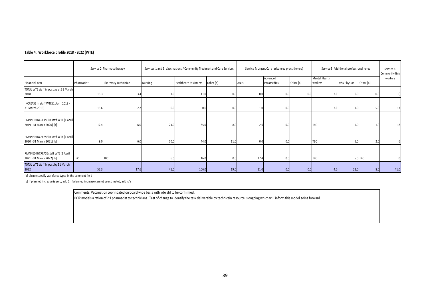### **Table 4: Workforce profile 2018 - 2022 (WTE)**

| Table 4: Workforce profile 2018 - 2022 (WTE)                        |            |                                                                        |         |                       |                                                 |      |                        |                                          |                          |                    |                              |         |
|---------------------------------------------------------------------|------------|------------------------------------------------------------------------|---------|-----------------------|-------------------------------------------------|------|------------------------|------------------------------------------|--------------------------|--------------------|------------------------------|---------|
| Service 2: Pharmacotherapy                                          |            | Services 1 and 3: Vaccinations / Community Treatment and Care Services |         |                       | Service 4: Urgent Care (advanced practitioners) |      |                        | Service 5: Additional professional roles |                          |                    | Service 6:<br>Community link |         |
| Financial Year                                                      | Pharmacist | Pharmacy Technician                                                    | Nursing | Healthcare Assistants | Other [a]                                       | ANPs | Advanced<br>Paramedics | Other [a]                                | Mental Health<br>workers | <b>MSK Physios</b> | Other [a]                    | workers |
| TOTAL WTE staff in post as at 31 March<br>2018                      | 15.3       | 3.4                                                                    | 1.0     | 11.0                  | 0.0                                             | 0.0  | 0.0                    | 0.0                                      | 2.0                      | 0.0                | 0.0                          |         |
| INCREASE in staff WTE (1 April 2018 -<br>31 March 2019)             | 15.6       | 2.2                                                                    | 0.0     | 0.0                   | 0.0                                             | 1.0  | 0.0                    |                                          | 2.0                      | 7.0                | 5.0                          | 17      |
| PLANNED INCREASE in staff WTE (1 April<br>2019 - 31 March 2020) [b] | 12.4       | 6.0                                                                    | 24.0    | 35.0                  | 8.0                                             | 2.6  | 0.0                    |                                          | <b>TBC</b>               | 5.0                | 1.0                          | 18      |
| PLANNED INCREASE in staff WTE (1 April<br>2020 - 31 March 2021) [b] | 9.0        | 6.0                                                                    | 10.0    | 44.0                  | 11.0                                            | 0.0  | 0.0                    |                                          | TBC                      | 5.0                | 2.0                          |         |
| PLANNED INCREASE staff WTE (1 April<br>2021 - 31 March 2022) [b]    | TBC        | <b>TBC</b>                                                             | 6.0     | 16.0                  | 0.0                                             | 17.4 | 0.0                    |                                          | TBC                      |                    | 5.0 TBC                      |         |
| TOTAL WTE staff in post by 31 March<br>2022                         | 52.3       | 17.6                                                                   | 41.0    | 106.0                 | 19.0                                            | 21.0 | 0.0                    | 0.0                                      | 4.0                      | 22.0               | 8.0                          | 41.0    |

[a] please specify workforce types in the comment field

[b] If planned increase is zero, add 0. If planned increase cannot be estimated, add n/a

Comments: Vaccination coorindated on board wide basis with wte stil to be confirmed.

PCIP models a ration of 2:1 pharmacist to technicians. Test of change to identify the task deliverable by technicain resource is ongoing which will inform this model going forward.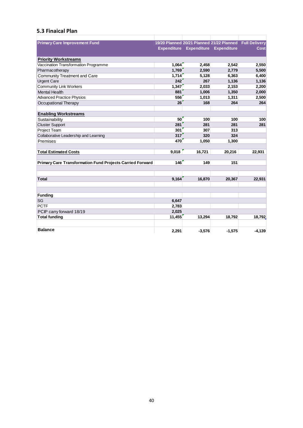# **5.3 Finaical Plan**

| <b>Primary Care Improvement Fund</b>                             |                |          | 19/20 Planned 20/21 Planned 21/22 Planned Full Delivery |          |
|------------------------------------------------------------------|----------------|----------|---------------------------------------------------------|----------|
|                                                                  |                |          | Expenditure Expenditure Expenditure                     | Cost     |
| <b>Priority Workstreams</b>                                      |                |          |                                                         |          |
| Vaccination Transformation Programme                             | 1,064          | 2,458    | 2,542                                                   | 2,550    |
| Pharmacotherapy                                                  | 1,769          | 2,590    | 2,779                                                   | 5,500    |
| Community Treatment and Care                                     | 1,714          | 5,128    | 6,363                                                   | 6,400    |
| <b>Urgent Care</b>                                               | 242            | 267      | 1,136                                                   | 1,136    |
| <b>Community Link Workers</b>                                    | 1,347          | 2,033    | 2,153                                                   | 2,200    |
| <b>Mental Health</b>                                             | 881            | 1,006    | 1,350                                                   | 2,000    |
| <b>Advanced Practice Physios</b>                                 | 556            | 1,013    | 1,311                                                   | 2,500    |
| Occupational Therapy                                             | 26             | 168      | 264                                                     | 264      |
| <b>Enabling Workstreams</b>                                      |                |          |                                                         |          |
| Sustainability                                                   | 50             | 100      | 100                                                     | 100      |
| <b>Cluster Support</b>                                           | 281            | 281      | 281                                                     | 281      |
| <b>Project Team</b>                                              | 301            | 307      | 313                                                     |          |
| Collaborative Leadership and Learning                            | 317            | 320      | 324                                                     |          |
| Premises                                                         | 470            | 1,050    | 1,300                                                   |          |
| <b>Total Estimated Costs</b>                                     | 9,018          | 16,721   | 20,216                                                  | 22,931   |
| <b>Primary Care Transformation Fund Projects Carried Forward</b> | 146            | 149      | 151                                                     |          |
| <b>Total</b>                                                     | 9,164          | 16,870   | 20,367                                                  | 22,931   |
|                                                                  |                |          |                                                         |          |
| <b>Funding</b><br><b>SG</b>                                      |                |          |                                                         |          |
| <b>PCTF</b>                                                      | 6,647<br>2,783 |          |                                                         |          |
| PCIP carry forward 18/19                                         | 2,025          |          |                                                         |          |
| <b>Total funding</b>                                             | 11,455         | 13,294   | 18,792                                                  | 18,792   |
|                                                                  |                |          |                                                         |          |
| <b>Balance</b>                                                   | 2,291          | $-3,576$ | $-1,575$                                                | $-4,139$ |